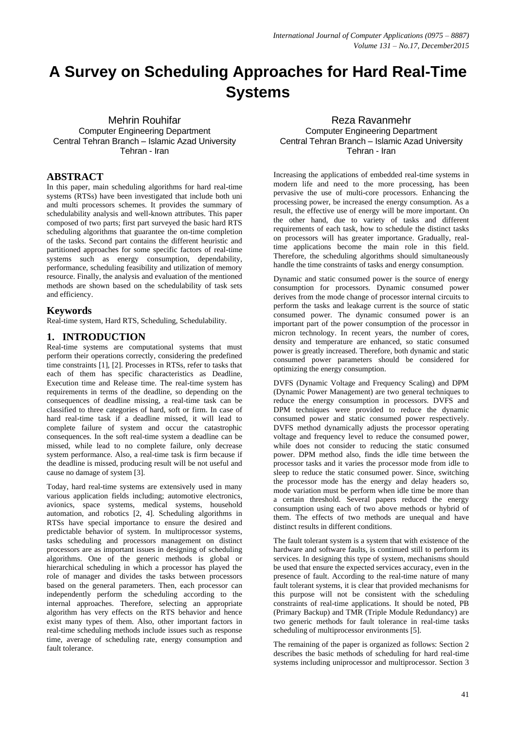# **A Survey on Scheduling Approaches for Hard Real-Time Systems**

Mehrin Rouhifar Computer Engineering Department Central Tehran Branch – Islamic Azad University Tehran - Iran

## **ABSTRACT**

In this paper, main scheduling algorithms for hard real-time systems (RTSs) have been investigated that include both uni and multi processors schemes. It provides the summary of schedulability analysis and well-known attributes. This paper composed of two parts; first part surveyed the basic hard RTS scheduling algorithms that guarantee the on-time completion of the tasks. Second part contains the different heuristic and partitioned approaches for some specific factors of real-time systems such as energy consumption, dependability, performance, scheduling feasibility and utilization of memory resource. Finally, the analysis and evaluation of the mentioned methods are shown based on the schedulability of task sets and efficiency.

## **Keywords**

Real-time system, Hard RTS, Scheduling, Schedulability.

# **1. INTRODUCTION**

Real-time systems are computational systems that must perform their operations correctly, considering the predefined time constraints [1], [2]. Processes in RTSs, refer to tasks that each of them has specific characteristics as Deadline, Execution time and Release time. The real-time system has requirements in terms of the deadline, so depending on the consequences of deadline missing, a real-time task can be classified to three categories of hard, soft or firm. In case of hard real-time task if a deadline missed, it will lead to complete failure of system and occur the catastrophic consequences. In the soft real-time system a deadline can be missed, while lead to no complete failure, only decrease system performance. Also, a real-time task is firm because if the deadline is missed, producing result will be not useful and cause no damage of system [3].

Today, hard real-time systems are extensively used in many various application fields including; automotive electronics, avionics, space systems, medical systems, household automation, and robotics [2, 4]. Scheduling algorithms in RTSs have special importance to ensure the desired and predictable behavior of system. In multiprocessor systems, tasks scheduling and processors management on distinct processors are as important issues in designing of scheduling algorithms. One of the generic methods is global or hierarchical scheduling in which a processor has played the role of manager and divides the tasks between processors based on the general parameters. Then, each processor can independently perform the scheduling according to the internal approaches. Therefore, selecting an appropriate algorithm has very effects on the RTS behavior and hence exist many types of them. Also, other important factors in real-time scheduling methods include issues such as response time, average of scheduling rate, energy consumption and fault tolerance.

Reza Ravanmehr Computer Engineering Department Central Tehran Branch – Islamic Azad University Tehran - Iran

Increasing the applications of embedded real-time systems in modern life and need to the more processing, has been pervasive the use of multi-core processors. Enhancing the processing power, be increased the energy consumption. As a result, the effective use of energy will be more important. On the other hand, due to variety of tasks and different requirements of each task, how to schedule the distinct tasks on processors will has greater importance. Gradually, realtime applications become the main role in this field. Therefore, the scheduling algorithms should simultaneously handle the time constraints of tasks and energy consumption.

Dynamic and static consumed power is the source of energy consumption for processors. Dynamic consumed power derives from the mode change of processor internal circuits to perform the tasks and leakage current is the source of static consumed power. The dynamic consumed power is an important part of the power consumption of the processor in micron technology. In recent years, the number of cores, density and temperature are enhanced, so static consumed power is greatly increased. Therefore, both dynamic and static consumed power parameters should be considered for optimizing the energy consumption.

DVFS (Dynamic Voltage and Frequency Scaling) and DPM (Dynamic Power Management) are two general techniques to reduce the energy consumption in processors. DVFS and DPM techniques were provided to reduce the dynamic consumed power and static consumed power respectively. DVFS method dynamically adjusts the processor operating voltage and frequency level to reduce the consumed power, while does not consider to reducing the static consumed power. DPM method also, finds the idle time between the processor tasks and it varies the processor mode from idle to sleep to reduce the static consumed power. Since, switching the processor mode has the energy and delay headers so, mode variation must be perform when idle time be more than a certain threshold. Several papers reduced the energy consumption using each of two above methods or hybrid of them. The effects of two methods are unequal and have distinct results in different conditions.

The fault tolerant system is a system that with existence of the hardware and software faults, is continued still to perform its services. In designing this type of system, mechanisms should be used that ensure the expected services accuracy, even in the presence of fault. According to the real-time nature of many fault tolerant systems, it is clear that provided mechanisms for this purpose will not be consistent with the scheduling constraints of real-time applications. It should be noted, PB (Primary Backup) and TMR (Triple Module Redundancy) are two generic methods for fault tolerance in real-time tasks scheduling of multiprocessor environments [5].

The remaining of the paper is organized as follows: Section 2 describes the basic methods of scheduling for hard real-time systems including uniprocessor and multiprocessor. Section 3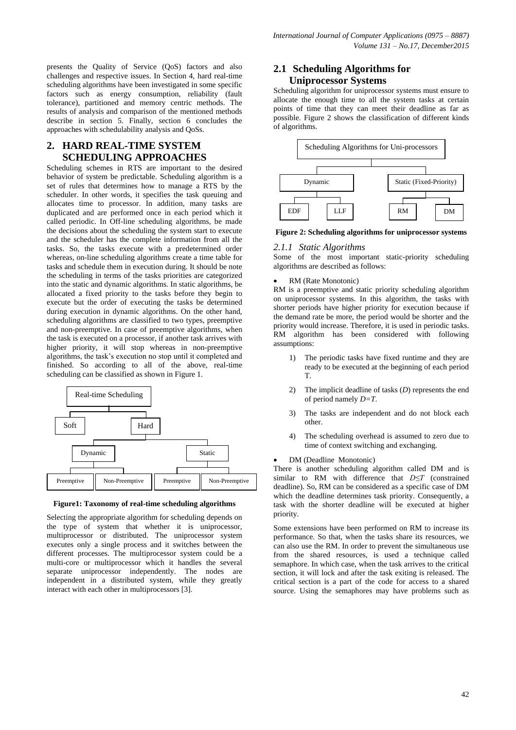presents the Quality of Service (QoS) factors and also challenges and respective issues. In Section 4, hard real-time scheduling algorithms have been investigated in some specific factors such as energy consumption, reliability (fault tolerance), partitioned and memory centric methods. The results of analysis and comparison of the mentioned methods describe in section 5. Finally, section 6 concludes the approaches with schedulability analysis and QoSs.

# **2. HARD REAL-TIME SYSTEM SCHEDULING APPROACHES**

Scheduling schemes in RTS are important to the desired behavior of system be predictable. Scheduling algorithm is a set of rules that determines how to manage a RTS by the scheduler. In other words, it specifies the task queuing and allocates time to processor. In addition, many tasks are duplicated and are performed once in each period which it called periodic. In Off-line scheduling algorithms, be made the decisions about the scheduling the system start to execute and the scheduler has the complete information from all the tasks. So, the tasks execute with a predetermined order whereas, on-line scheduling algorithms create a time table for tasks and schedule them in execution during. It should be note the scheduling in terms of the tasks priorities are categorized into the static and dynamic algorithms. In static algorithms, be allocated a fixed priority to the tasks before they begin to execute but the order of executing the tasks be determined during execution in dynamic algorithms. On the other hand, scheduling algorithms are classified to two types, preemptive and non-preemptive. In case of preemptive algorithms, when the task is executed on a processor, if another task arrives with higher priority, it will stop whereas in non-preemptive algorithms, the task's execution no stop until it completed and finished. So according to all of the above, real-time scheduling can be classified as shown in Figure 1.



**Figure1: Taxonomy of real-time scheduling algorithms**

Selecting the appropriate algorithm for scheduling depends on the type of system that whether it is uniprocessor, multiprocessor or distributed. The uniprocessor system executes only a single process and it switches between the different processes. The multiprocessor system could be a multi-core or multiprocessor which it handles the several separate uniprocessor independently. The nodes are independent in a distributed system, while they greatly interact with each other in multiprocessors [3].

# **2.1 Scheduling Algorithms for Uniprocessor Systems**

Scheduling algorithm for uniprocessor systems must ensure to allocate the enough time to all the system tasks at certain points of time that they can meet their deadline as far as possible. Figure 2 shows the classification of different kinds of algorithms.



**Figure 2: Scheduling algorithms for uniprocessor systems**

### *2.1.1 Static Algorithms*

Some of the most important static-priority scheduling algorithms are described as follows:

#### RM (Rate Monotonic)

RM is a preemptive and static priority scheduling algorithm on uniprocessor systems. In this algorithm, the tasks with shorter periods have higher priority for execution because if the demand rate be more, the period would be shorter and the priority would increase. Therefore, it is used in periodic tasks. RM algorithm has been considered with following assumptions:

- 1) The periodic tasks have fixed runtime and they are ready to be executed at the beginning of each period T.
- 2) The implicit deadline of tasks (*D*) represents the end of period namely *D=T*.
- 3) The tasks are independent and do not block each other.
- 4) The scheduling overhead is assumed to zero due to time of context switching and exchanging.
- DM (Deadline Monotonic)

There is another scheduling algorithm called DM and is similar to RM with difference that *D≤T* (constrained deadline). So, RM can be considered as a specific case of DM which the deadline determines task priority. Consequently, a task with the shorter deadline will be executed at higher priority.

Some extensions have been performed on RM to increase its performance. So that, when the tasks share its resources, we can also use the RM. In order to prevent the simultaneous use from the shared resources, is used a technique called semaphore. In which case, when the task arrives to the critical section, it will lock and after the task exiting is released. The critical section is a part of the code for access to a shared source. Using the semaphores may have problems such as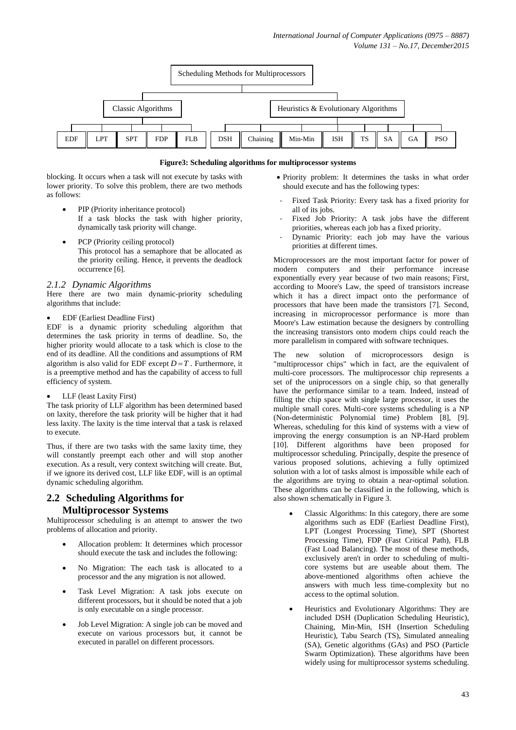

#### **Figure3: Scheduling algorithms for multiprocessor systems**

blocking. It occurs when a task will not execute by tasks with lower priority. To solve this problem, there are two methods as follows:

- PIP (Priority inheritance protocol) If a task blocks the task with higher priority, dynamically task priority will change.
- PCP (Priority ceiling protocol) This protocol has a semaphore that be allocated as the priority ceiling. Hence, it prevents the deadlock occurrence [6].

#### *2.1.2 Dynamic Algorithms*

Here there are two main dynamic-priority scheduling algorithms that include:

#### EDF (Earliest Deadline First)

EDF is a dynamic priority scheduling algorithm that determines the task priority in terms of deadline. So, the higher priority would allocate to a task which is close to the end of its deadline. All the conditions and assumptions of RM algorithm is also valid for EDF except  $D = T$ . Furthermore, it is a preemptive method and has the capability of access to full efficiency of system.

#### LLF (least Laxity First)

The task priority of LLF algorithm has been determined based on laxity, therefore the task priority will be higher that it had less laxity. The laxity is the time interval that a task is relaxed to execute.

Thus, if there are two tasks with the same laxity time, they will constantly preempt each other and will stop another execution. As a result, very context switching will create. But, if we ignore its derived cost, LLF like EDF, will is an optimal dynamic scheduling algorithm.

## **2.2 Scheduling Algorithms for Multiprocessor Systems**

Multiprocessor scheduling is an attempt to answer the two problems of allocation and priority.

- Allocation problem: It determines which processor should execute the task and includes the following:
- No Migration: The each task is allocated to a processor and the any migration is not allowed.
- Task Level Migration: A task jobs execute on different processors, but it should be noted that a job is only executable on a single processor.
- Job Level Migration: A single job can be moved and execute on various processors but, it cannot be executed in parallel on different processors.
- Priority problem: It determines the tasks in what order should execute and has the following types:
- Fixed Task Priority: Every task has a fixed priority for all of its jobs.
- Fixed Job Priority: A task jobs have the different priorities, whereas each job has a fixed priority.
- Dynamic Priority: each job may have the various priorities at different times.

Microprocessors are the most important factor for power of modern computers and their performance increase exponentially every year because of two main reasons; First, according to Moore's Law, the speed of transistors increase which it has a direct impact onto the performance of processors that have been made the transistors [7]. Second, increasing in microprocessor performance is more than Moore's Law estimation because the designers by controlling the increasing transistors onto modern chips could reach the more parallelism in compared with software techniques.

The new solution of microprocessors design is "multiprocessor chips" which in fact, are the equivalent of multi-core processors. The multiprocessor chip represents a set of the uniprocessors on a single chip, so that generally have the performance similar to a team. Indeed, instead of filling the chip space with single large processor, it uses the multiple small cores. Multi-core systems scheduling is a NP (Non-deterministic Polynomial time) Problem [8], [9]. Whereas, scheduling for this kind of systems with a view of improving the energy consumption is an NP-Hard problem [10]. Different algorithms have been proposed for multiprocessor scheduling. Principally, despite the presence of various proposed solutions, achieving a fully optimized solution with a lot of tasks almost is impossible while each of the algorithms are trying to obtain a near-optimal solution. These algorithms can be classified in the following, which is also shown schematically in Figure 3.

- Classic Algorithms: In this category, there are some algorithms such as EDF (Earliest Deadline First), LPT (Longest Processing Time), SPT (Shortest Processing Time), FDP (Fast Critical Path), FLB (Fast Load Balancing). The most of these methods, exclusively aren't in order to scheduling of multicore systems but are useable about them. The above-mentioned algorithms often achieve the answers with much less time-complexity but no access to the optimal solution.
- Heuristics and Evolutionary Algorithms: They are included DSH (Duplication Scheduling Heuristic), Chaining, Min-Min, ISH (Insertion Scheduling Heuristic), Tabu Search (TS), Simulated annealing (SA), Genetic algorithms (GAs) and PSO (Particle Swarm Optimization). These algorithms have been widely using for multiprocessor systems scheduling.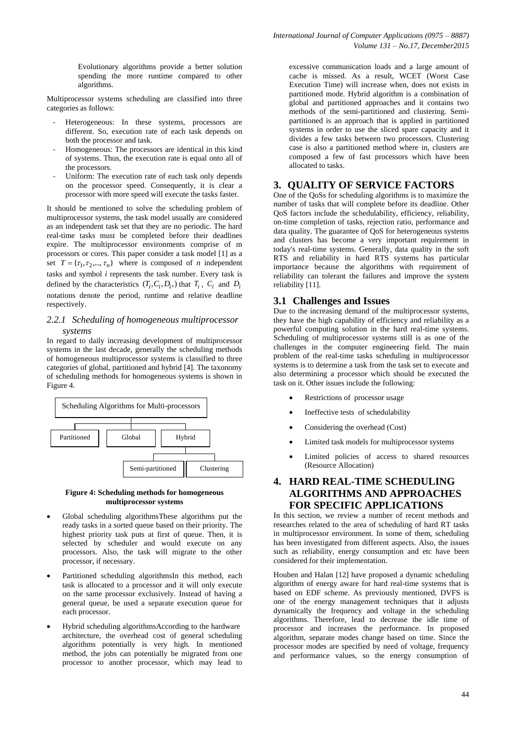Evolutionary algorithms provide a better solution spending the more runtime compared to other algorithms.

Multiprocessor systems scheduling are classified into three categories as follows:

- Heterogeneous: In these systems, processors are different. So, execution rate of each task depends on both the processor and task.
- Homogeneous: The processors are identical in this kind of systems. Thus, the execution rate is equal onto all of the processors.
- Uniform: The execution rate of each task only depends on the processor speed. Consequently, it is clear a processor with more speed will execute the tasks faster.

It should be mentioned to solve the scheduling problem of multiprocessor systems, the task model usually are considered as an independent task set that they are no periodic. The hard real-time tasks must be completed before their deadlines expire. The multiprocessor environments comprise of m processors or cores. This paper consider a task model [1] as a set  $T = \{\tau_1, \tau_2, ..., \tau_n\}$  where is composed of *n* independent tasks and symbol *i* represents the task number. Every task is defined by the characteristics  $(T_i, C_i, D_i)$  that  $T_i$ ,  $C_i$  and  $D_i$ notations denote the period, runtime and relative deadline respectively.

### *2.2.1 Scheduling of homogeneous multiprocessor systems*

In regard to daily increasing development of multiprocessor systems in the last decade, generally the scheduling methods of homogeneous multiprocessor systems is classified to three categories of global, partitioned and hybrid [4]. The taxonomy of scheduling methods for homogeneous systems is shown in Figure 4.



#### **Figure 4: Scheduling methods for homogeneous multiprocessor systems**

- Global scheduling algorithmsThese algorithms put the ready tasks in a sorted queue based on their priority. The highest priority task puts at first of queue. Then, it is selected by scheduler and would execute on any processors. Also, the task will migrate to the other processor, if necessary.
- Partitioned scheduling algorithmsIn this method, each task is allocated to a processor and it will only execute on the same processor exclusively. Instead of having a general queue, be used a separate execution queue for each processor.
- Hybrid scheduling algorithmsAccording to the hardware architecture, the overhead cost of general scheduling algorithms potentially is very high. In mentioned method, the jobs can potentially be migrated from one processor to another processor, which may lead to

excessive communication loads and a large amount of cache is missed. As a result, WCET (Worst Case Execution Time) will increase when, does not exists in partitioned mode. Hybrid algorithm is a combination of global and partitioned approaches and it contains two methods of the semi-partitioned and clustering. Semipartitioned is an approach that is applied in partitioned systems in order to use the sliced spare capacity and it divides a few tasks between two processors. Clustering case is also a partitioned method where in, clusters are composed a few of fast processors which have been allocated to tasks.

## **3. QUALITY OF SERVICE FACTORS**

One of the QoSs for scheduling algorithms is to maximize the number of tasks that will complete before its deadline. Other QoS factors include the schedulability, efficiency, reliability, on-time completion of tasks, rejection ratio, performance and data quality. The guarantee of QoS for heterogeneous systems and clusters has become a very important requirement in today's real-time systems. Generally, data quality in the soft RTS and reliability in hard RTS systems has particular importance because the algorithms with requirement of reliability can tolerant the failures and improve the system reliability [11].

## **3.1 Challenges and Issues**

Due to the increasing demand of the multiprocessor systems, they have the high capability of efficiency and reliability as a powerful computing solution in the hard real-time systems. Scheduling of multiprocessor systems still is as one of the challenges in the computer engineering field. The main problem of the real-time tasks scheduling in multiprocessor systems is to determine a task from the task set to execute and also determining a processor which should be executed the task on it. Other issues include the following:

- Restrictions of processor usage
- Ineffective tests of schedulability
- Considering the overhead (Cost)
- Limited task models for multiprocessor systems
- Limited policies of access to shared resources (Resource Allocation)

# **4. HARD REAL-TIME SCHEDULING ALGORITHMS AND APPROACHES FOR SPECIFIC APPLICATIONS**

In this section, we review a number of recent methods and researches related to the area of scheduling of hard RT tasks in multiprocessor environment. In some of them, scheduling has been investigated from different aspects. Also, the issues such as reliability, energy consumption and etc have been considered for their implementation.

Houben and Halan [12] have proposed a dynamic scheduling algorithm of energy aware for hard real-time systems that is based on EDF scheme. As previously mentioned, DVFS is one of the energy management techniques that it adjusts dynamically the frequency and voltage in the scheduling algorithms. Therefore, lead to decrease the idle time of processor and increases the performance. In proposed algorithm, separate modes change based on time. Since the processor modes are specified by need of voltage, frequency and performance values, so the energy consumption of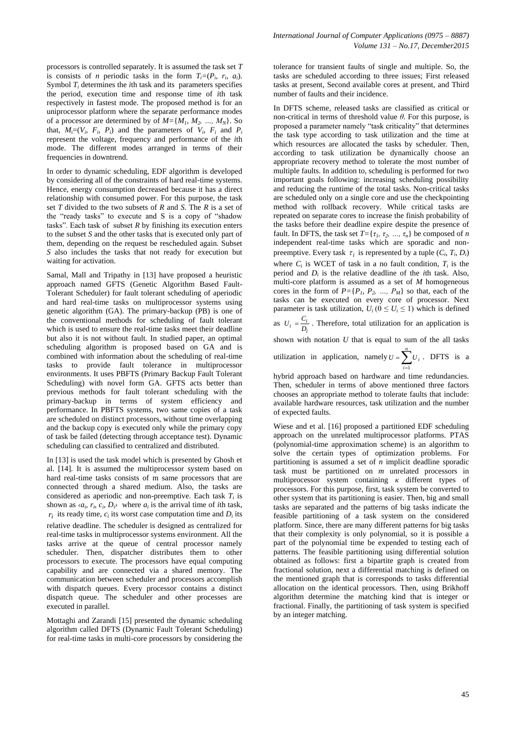processors is controlled separately. It is assumed the task set *T* is consists of *n* periodic tasks in the form  $T_i = (P_i, r_i, a_i)$ . Symbol  $T_i$  determines the *i*th task and its parameters specifies the period, execution time and response time of *i*th task respectively in fastest mode. The proposed method is for an uniprocessor platform where the separate performance modes of a processor are determined by of  $M = \{M_1, M_2, ..., M_N\}$ . So that,  $M_i = (V_i, F_i, P_i)$  and the parameters of  $V_i, F_i$  and  $P_i$ represent the voltage, frequency and performance of the *i*th mode. The different modes arranged in terms of their frequencies in downtrend.

In order to dynamic scheduling, EDF algorithm is developed by considering all of the constraints of hard real-time systems. Hence, energy consumption decreased because it has a direct relationship with consumed power. For this purpose, the task set *T* divided to the two subsets of *R* and *S*. The *R* is a set of the "ready tasks" to execute and S is a copy of "shadow tasks". Each task of subset  $R$  by finishing its execution enters to the subset *S* and the other tasks that is executed only part of them, depending on the request be rescheduled again. Subset *S* also includes the tasks that not ready for execution but waiting for activation.

Samal, Mall and Tripathy in [13] have proposed a heuristic approach named GFTS (Genetic Algorithm Based Fault-Tolerant Scheduler) for fault tolerant scheduling of aperiodic and hard real-time tasks on multiprocessor systems using genetic algorithm (GA). The primary-backup (PB) is one of the conventional methods for scheduling of fault tolerant which is used to ensure the real-time tasks meet their deadline but also it is not without fault. In studied paper, an optimal scheduling algorithm is proposed based on GA and is combined with information about the scheduling of real-time tasks to provide fault tolerance in multiprocessor environments. It uses PBFTS (Primary Backup Fault Tolerant Scheduling) with novel form GA. GFTS acts better than previous methods for fault tolerant scheduling with the primary-backup in terms of system efficiency and performance. In PBFTS systems, two same copies of a task are scheduled on distinct processors, without time overlapping and the backup copy is executed only while the primary copy of task be failed (detecting through acceptance test). Dynamic scheduling can classified to centralized and distributed.

In [13] is used the task model which is presented by Ghosh et al. [14]. It is assumed the multiprocessor system based on hard real-time tasks consists of m same processors that are connected through a shared medium. Also, the tasks are considered as aperiodic and non-preemptive. Each task *T<sup>i</sup>* is shown as  $\langle a_i, r_i, c_i, D_i \rangle$  where  $a_i$  is the arrival time of *i*th task,  $r_i$  its ready time,  $c_i$  its worst case computation time and  $D_i$  its relative deadline. The scheduler is designed as centralized for real-time tasks in multiprocessor systems environment. All the tasks arrive at the queue of central processor namely scheduler. Then, dispatcher distributes them to other processors to execute. The processors have equal computing capability and are connected via a shared memory. The communication between scheduler and processors accomplish with dispatch queues. Every processor contains a distinct dispatch queue. The scheduler and other processes are executed in parallel.

Mottaghi and Zarandi [15] presented the dynamic scheduling algorithm called DFTS (Dynamic Fault Tolerant Scheduling) for real-time tasks in multi-core processors by considering the

tolerance for transient faults of single and multiple. So, the tasks are scheduled according to three issues; First released tasks at present, Second available cores at present, and Third number of faults and their incidence.

In DFTS scheme, released tasks are classified as critical or non-critical in terms of threshold value *θ*. For this purpose, is proposed a parameter namely "task criticality" that determines the task type according to task utilization and the time at which resources are allocated the tasks by scheduler. Then, according to task utilization be dynamically choose an appropriate recovery method to tolerate the most number of multiple faults. In addition to, scheduling is performed for two important goals following: increasing scheduling possibility and reducing the runtime of the total tasks. Non-critical tasks are scheduled only on a single core and use the checkpointing method with rollback recovery. While critical tasks are repeated on separate cores to increase the finish probability of the tasks before their deadline expire despite the presence of fault. In DFTS, the task set  $T = \{\tau_1, \tau_2, ..., \tau_n\}$  be composed of *n* independent real-time tasks which are sporadic and nonpreemptive. Every task  $\tau_i$  is represented by a tuple  $(C_i, T_i, D_i)$ where  $C_i$  is WCET of task in a no fault condition,  $T_i$  is the period and  $D_i$  is the relative deadline of the *i*th task. Also, multi-core platform is assumed as a set of *M* homogeneous cores in the form of  $P = \{P_1, P_2, ..., P_M\}$  so that, each of the tasks can be executed on every core of processor. Next parameter is task utilization,  $U_i$  ( $0 \leq U_i \leq 1$ ) which is defined as  $U_i = \frac{C_i}{D_i}$  $i = \frac{C_i}{D_i}$  $U_i = \frac{C_i}{T}$ . Therefore, total utilization for an application is

shown with notation *U* that is equal to sum of the all tasks *n*

utilization in application, namely  $U = \sum_{i=1}^{n}$ *i*  $U = \sum U_i$ . DFTS is a 1

hybrid approach based on hardware and time redundancies. Then, scheduler in terms of above mentioned three factors chooses an appropriate method to tolerate faults that include: available hardware resources, task utilization and the number of expected faults.

Wiese and et al. [16] proposed a partitioned EDF scheduling approach on the unrelated multiprocessor platforms. PTAS (polynomial-time approximation scheme) is an algorithm to solve the certain types of optimization problems. For partitioning is assumed a set of *n* implicit deadline sporadic task must be partitioned on *m* unrelated processors in multiprocessor system containing *κ* different types of processors. For this purpose, first, task system be converted to other system that its partitioning is easier. Then, big and small tasks are separated and the patterns of big tasks indicate the feasible partitioning of a task system on the considered platform. Since, there are many different patterns for big tasks that their complexity is only polynomial, so it is possible a part of the polynomial time be expended to testing each of patterns. The feasible partitioning using differential solution obtained as follows: first a bipartite graph is created from fractional solution, next a differential matching is defined on the mentioned graph that is corresponds to tasks differential allocation on the identical processors. Then, using Brikhoff algorithm determine the matching kind that is integer or fractional. Finally, the partitioning of task system is specified by an integer matching.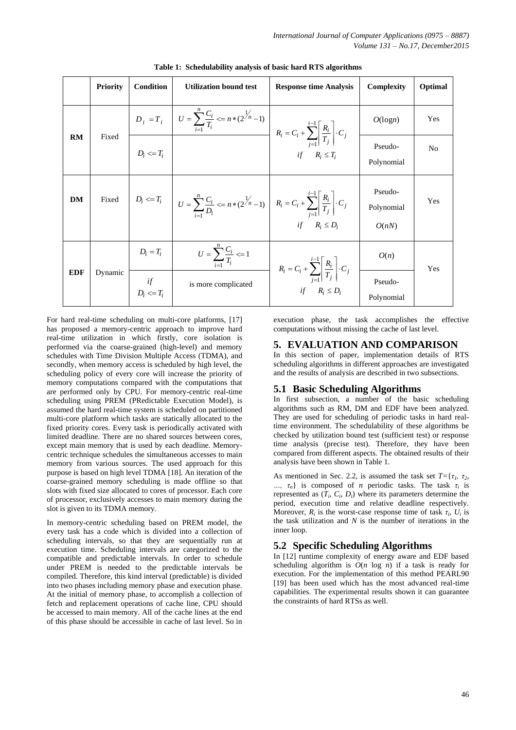|            | <b>Priority</b> | Condition              | <b>Utilization bound test</b>                                                                                                                     | <b>Response time Analysis</b>                                           | Complexity                     | Optimal |
|------------|-----------------|------------------------|---------------------------------------------------------------------------------------------------------------------------------------------------|-------------------------------------------------------------------------|--------------------------------|---------|
| RM         | Fixed           |                        | $D_i = T_i$ $U = \sum_{i=1}^{n} \frac{C_i}{T_i} \le n * (2^{j/n} - 1)$<br>$R_i = C_i + \sum_{j=1}^{i-1} \left[ \frac{R_i}{T_j} \right] \cdot C_j$ |                                                                         | O(logn)                        | Yes     |
|            |                 | $D_i \leq T_i$         |                                                                                                                                                   | if $R_i \leq T_i$                                                       | Pseudo-<br>Polynomial          | No      |
| DM         | Fixed           |                        | $D_i \leq T_i$ $U = \sum_{i=1}^n \frac{C_i}{D_i} \leq n * (2^{j/n} - 1)$ $R_i = C_i + \sum_{i=1}^{i-1} \frac{R_i}{T_i} \cdot C_j$                 | if $R_i \leq D_i$                                                       | Pseudo-<br>Polynomial<br>O(nN) | Yes     |
| <b>EDF</b> | Dynamic         | $D_i = T_i$            | $U = \sum_{i=1}^{n} \frac{C_i}{T_i} \leq 1$                                                                                                       | $R_i = C_i + \sum_{i=1}^{i-1} \left  \frac{R_i}{T_j} \right  \cdot C_j$ | O(n)                           | Yes     |
|            |                 | $if$<br>$D_i \leq T_i$ | is more complicated                                                                                                                               | if $R_i \leq D_i$                                                       | Pseudo-<br>Polynomial          |         |

**Table 1: Schedulability analysis of basic hard RTS algorithms**

For hard real-time scheduling on multi-core platforms, [17] has proposed a memory-centric approach to improve hard real-time utilization in which firstly, core isolation is performed via the coarse-grained (high-level) and memory schedules with Time Division Multiple Access (TDMA), and secondly, when memory access is scheduled by high level, the scheduling policy of every core will increase the priority of memory computations compared with the computations that are performed only by CPU. For memory-centric real-time scheduling using PREM (PRedictable Execution Model), is assumed the hard real-time system is scheduled on partitioned multi-core platform which tasks are statically allocated to the fixed priority cores. Every task is periodically activated with limited deadline. There are no shared sources between cores, except main memory that is used by each deadline. Memorycentric technique schedules the simultaneous accesses to main memory from various sources. The used approach for this purpose is based on high level TDMA [18]. An iteration of the coarse-grained memory scheduling is made offline so that slots with fixed size allocated to cores of processor. Each core of processor, exclusively accesses to main memory during the slot is given to its TDMA memory.

In memory-centric scheduling based on PREM model, the every task has a code which is divided into a collection of scheduling intervals, so that they are sequentially run at execution time. Scheduling intervals are categorized to the compatible and predictable intervals. In order to schedule under PREM is needed to the predictable intervals be compiled. Therefore, this kind interval (predictable) is divided into two phases including memory phase and execution phase. At the initial of memory phase, to accomplish a collection of fetch and replacement operations of cache line, CPU should be accessed to main memory. All of the cache lines at the end of this phase should be accessible in cache of last level. So in execution phase, the task accomplishes the effective computations without missing the cache of last level.

### **5. EVALUATION AND COMPARISON**

In this section of paper, implementation details of RTS scheduling algorithms in different approaches are investigated and the results of analysis are described in two subsections.

#### **5.1 Basic Scheduling Algorithms**

In first subsection, a number of the basic scheduling algorithms such as RM, DM and EDF have been analyzed. They are used for scheduling of periodic tasks in hard realtime environment. The schedulability of these algorithms be checked by utilization bound test (sufficient test) or response time analysis (precise test). Therefore, they have been compared from different aspects. The obtained results of their analysis have been shown in Table 1.

As mentioned in Sec. 2.2, is assumed the task set  $T = \{ \tau_1, \tau_2, \ldots, \tau_n \}$ *…, τn*} is composed of *n* periodic tasks. The task *τ<sup>i</sup>* is represented as  $(T_i, C_i, D_i)$  where its parameters determine the period, execution time and relative deadline respectively. Moreover,  $R_i$  is the worst-case response time of task  $\tau_i$ ,  $U_i$  is the task utilization and *N* is the number of iterations in the inner loop.

#### **5.2 Specific Scheduling Algorithms**

In [12] runtime complexity of energy aware and EDF based scheduling algorithm is  $O(n \log n)$  if a task is ready for execution. For the implementation of this method PEARL90 [19] has been used which has the most advanced real-time capabilities. The experimental results shown it can guarantee the constraints of hard RTSs as well.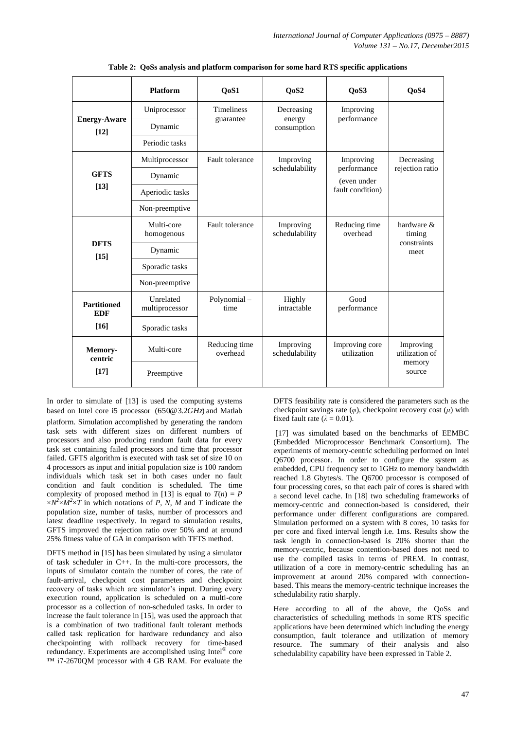|                                           | <b>Platform</b>             | QoS1                      | QoS2                                | OoS3                                                        | OoS4                                            |
|-------------------------------------------|-----------------------------|---------------------------|-------------------------------------|-------------------------------------------------------------|-------------------------------------------------|
|                                           | Uniprocessor                | <b>Timeliness</b>         | Decreasing<br>energy<br>consumption | Improving<br>performance                                    |                                                 |
| <b>Energy-Aware</b><br>$\lceil 12 \rceil$ | Dynamic                     | guarantee                 |                                     |                                                             |                                                 |
|                                           | Periodic tasks              |                           |                                     |                                                             |                                                 |
|                                           | Multiprocessor              | Fault tolerance           | Improving<br>schedulability         | Improving<br>performance<br>(even under<br>fault condition) | Decreasing                                      |
| <b>GFTS</b>                               | Dynamic                     |                           |                                     |                                                             | rejection ratio                                 |
| [13]                                      | Aperiodic tasks             |                           |                                     |                                                             |                                                 |
|                                           | Non-preemptive              |                           |                                     |                                                             |                                                 |
|                                           | Multi-core<br>homogenous    | Fault tolerance           | Improving<br>schedulability         | Reducing time<br>overhead                                   | hardware &<br>timing<br>constraints<br>meet     |
| <b>DFTS</b><br>[15]                       | Dynamic                     |                           |                                     |                                                             |                                                 |
|                                           | Sporadic tasks              |                           |                                     |                                                             |                                                 |
|                                           | Non-preemptive              |                           |                                     |                                                             |                                                 |
| <b>Partitioned</b><br><b>EDF</b>          | Unrelated<br>multiprocessor | Polynomial-<br>time       | Highly<br>intractable               | Good<br>performance                                         |                                                 |
| [16]                                      | Sporadic tasks              |                           |                                     |                                                             |                                                 |
| Memory-<br>centric                        | Multi-core                  | Reducing time<br>overhead | Improving<br>schedulability         | Improving core<br>utilization                               | Improving<br>utilization of<br>memory<br>source |
| $[17]$                                    | Preemptive                  |                           |                                     |                                                             |                                                 |

**Table 2: QoSs analysis and platform comparison for some hard RTS specific applications**

In order to simulate of [13] is used the computing systems based on Intel core i5 processor (650@3.2*GHz*) and Matlab platform. Simulation accomplished by generating the random task sets with different sizes on different numbers of processors and also producing random fault data for every task set containing failed processors and time that processor failed. GFTS algorithm is executed with task set of size 10 on 4 processors as input and initial population size is 100 random individuals which task set in both cases under no fault condition and fault condition is scheduled. The time complexity of proposed method in [13] is equal to  $T(n) = P$  $\times N^2 \times M^2 \times T$  in which notations of *P*, *N*, *M* and *T* indicate the population size, number of tasks, number of processors and latest deadline respectively. In regard to simulation results, GFTS improved the rejection ratio over 50% and at around 25% fitness value of GA in comparison with TFTS method.

DFTS method in [15] has been simulated by using a simulator of task scheduler in C++. In the multi-core processors, the inputs of simulator contain the number of cores, the rate of fault-arrival, checkpoint cost parameters and checkpoint recovery of tasks which are simulator's input. During every execution round, application is scheduled on a multi-core processor as a collection of non-scheduled tasks. In order to increase the fault tolerance in [15], was used the approach that is a combination of two traditional fault tolerant methods called task replication for hardware redundancy and also checkpointing with rollback recovery for time-based redundancy. Experiments are accomplished using Intel® core ™ i7-2670QM processor with 4 GB RAM. For evaluate the DFTS feasibility rate is considered the parameters such as the checkpoint savings rate  $(\varphi)$ , checkpoint recovery cost  $(\mu)$  with fixed fault rate  $(\lambda = 0.01)$ .

[17] was simulated based on the benchmarks of EEMBC (Embedded Microprocessor Benchmark Consortium). The experiments of memory-centric scheduling performed on Intel Q6700 processor. In order to configure the system as embedded, CPU frequency set to 1GHz to memory bandwidth reached 1.8 Gbytes/s. The Q6700 processor is composed of four processing cores, so that each pair of cores is shared with a second level cache. In [18] two scheduling frameworks of memory-centric and connection-based is considered, their performance under different configurations are compared. Simulation performed on a system with 8 cores, 10 tasks for per core and fixed interval length i.e. 1ms. Results show the task length in connection-based is 20% shorter than the memory-centric, because contention-based does not need to use the compiled tasks in terms of PREM. In contrast, utilization of a core in memory-centric scheduling has an improvement at around 20% compared with connectionbased. This means the memory-centric technique increases the schedulability ratio sharply.

Here according to all of the above, the QoSs and characteristics of scheduling methods in some RTS specific applications have been determined which including the energy consumption, fault tolerance and utilization of memory resource. The summary of their analysis and also schedulability capability have been expressed in Table 2.